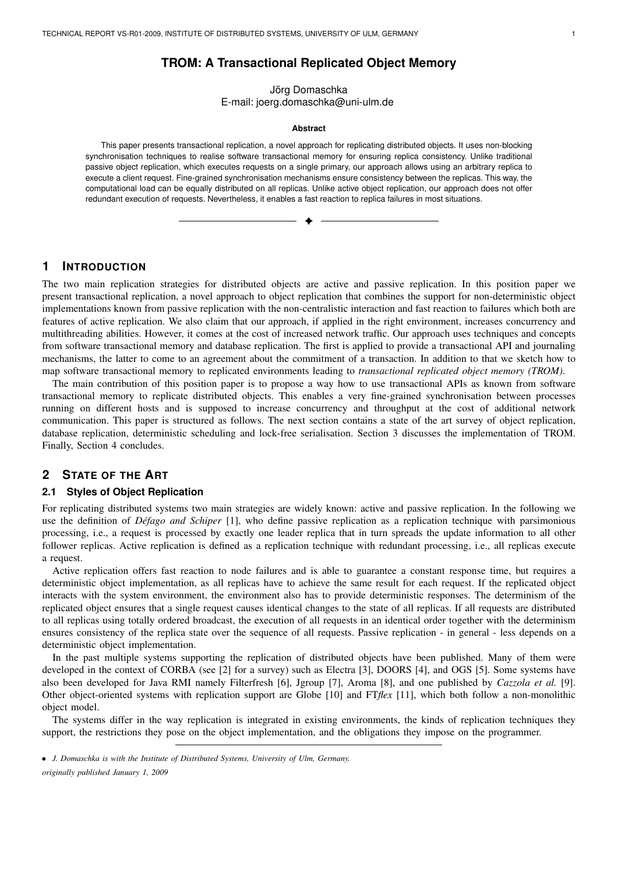# **TROM: A Transactional Replicated Object Memory**

Jörg Domaschka E-mail: joerg.domaschka@uni-ulm.de

#### **Abstract**

This paper presents transactional replication, a novel approach for replicating distributed objects. It uses non-blocking synchronisation techniques to realise software transactional memory for ensuring replica consistency. Unlike traditional passive object replication, which executes requests on a single primary, our approach allows using an arbitrary replica to execute a client request. Fine-grained synchronisation mechanisms ensure consistency between the replicas. This way, the computational load can be equally distributed on all replicas. Unlike active object replication, our approach does not offer redundant execution of requests. Nevertheless, it enables a fast reaction to replica failures in most situations.

✦

# **1 INTRODUCTION**

The two main replication strategies for distributed objects are active and passive replication. In this position paper we present transactional replication, a novel approach to object replication that combines the support for non-deterministic object implementations known from passive replication with the non-centralistic interaction and fast reaction to failures which both are features of active replication. We also claim that our approach, if applied in the right environment, increases concurrency and multithreading abilities. However, it comes at the cost of increased network traffic. Our approach uses techniques and concepts from software transactional memory and database replication. The first is applied to provide a transactional API and journaling mechanisms, the latter to come to an agreement about the commitment of a transaction. In addition to that we sketch how to map software transactional memory to replicated environments leading to *transactional replicated object memory (TROM)*.

The main contribution of this position paper is to propose a way how to use transactional APIs as known from software transactional memory to replicate distributed objects. This enables a very fine-grained synchronisation between processes running on different hosts and is supposed to increase concurrency and throughput at the cost of additional network communication. This paper is structured as follows. The next section contains a state of the art survey of object replication, database replication, deterministic scheduling and lock-free serialisation. Section 3 discusses the implementation of TROM. Finally, Section 4 concludes.

# **2 STATE OF THE ART**

#### **2.1 Styles of Object Replication**

For replicating distributed systems two main strategies are widely known: active and passive replication. In the following we use the definition of *Defago and Schiper ´* [1], who define passive replication as a replication technique with parsimonious processing, i.e., a request is processed by exactly one leader replica that in turn spreads the update information to all other follower replicas. Active replication is defined as a replication technique with redundant processing, i.e., all replicas execute a request.

Active replication offers fast reaction to node failures and is able to guarantee a constant response time, but requires a deterministic object implementation, as all replicas have to achieve the same result for each request. If the replicated object interacts with the system environment, the environment also has to provide deterministic responses. The determinism of the replicated object ensures that a single request causes identical changes to the state of all replicas. If all requests are distributed to all replicas using totally ordered broadcast, the execution of all requests in an identical order together with the determinism ensures consistency of the replica state over the sequence of all requests. Passive replication - in general - less depends on a deterministic object implementation.

In the past multiple systems supporting the replication of distributed objects have been published. Many of them were developed in the context of CORBA (see [2] for a survey) such as Electra [3], DOORS [4], and OGS [5]. Some systems have also been developed for Java RMI namely Filterfresh [6], Jgroup [7], Aroma [8], and one published by *Cazzola et al.* [9]. Other object-oriented systems with replication support are Globe [10] and FT*flex* [11], which both follow a non-monolithic object model.

The systems differ in the way replication is integrated in existing environments, the kinds of replication techniques they support, the restrictions they pose on the object implementation, and the obligations they impose on the programmer.

<sup>•</sup> *J. Domaschka is with the Institute of Distributed Systems, University of Ulm, Germany. originally published January 1, 2009*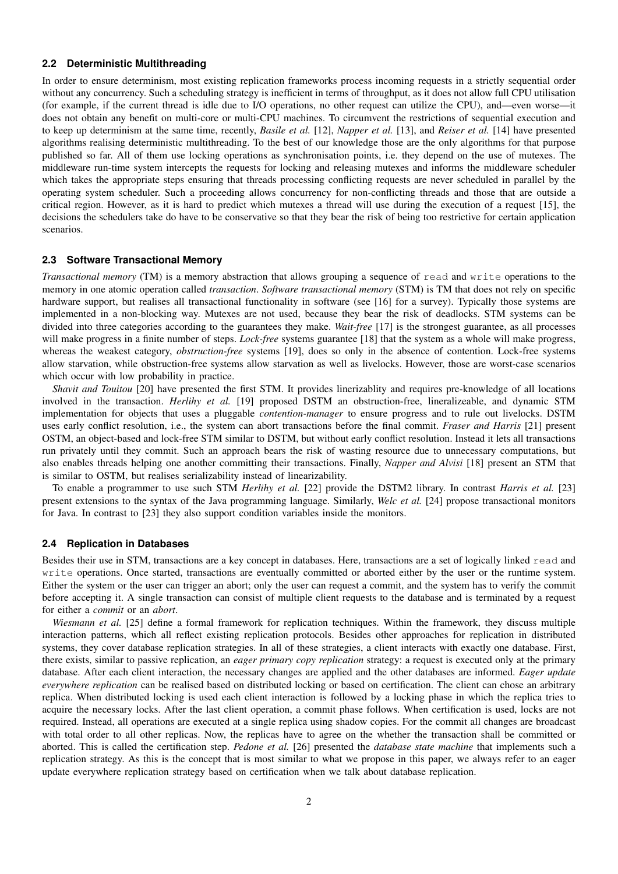## **2.2 Deterministic Multithreading**

In order to ensure determinism, most existing replication frameworks process incoming requests in a strictly sequential order without any concurrency. Such a scheduling strategy is inefficient in terms of throughput, as it does not allow full CPU utilisation (for example, if the current thread is idle due to I/O operations, no other request can utilize the CPU), and—even worse—it does not obtain any benefit on multi-core or multi-CPU machines. To circumvent the restrictions of sequential execution and to keep up determinism at the same time, recently, *Basile et al.* [12], *Napper et al.* [13], and *Reiser et al.* [14] have presented algorithms realising deterministic multithreading. To the best of our knowledge those are the only algorithms for that purpose published so far. All of them use locking operations as synchronisation points, i.e. they depend on the use of mutexes. The middleware run-time system intercepts the requests for locking and releasing mutexes and informs the middleware scheduler which takes the appropriate steps ensuring that threads processing conflicting requests are never scheduled in parallel by the operating system scheduler. Such a proceeding allows concurrency for non-conflicting threads and those that are outside a critical region. However, as it is hard to predict which mutexes a thread will use during the execution of a request [15], the decisions the schedulers take do have to be conservative so that they bear the risk of being too restrictive for certain application scenarios.

## **2.3 Software Transactional Memory**

*Transactional memory* (TM) is a memory abstraction that allows grouping a sequence of read and write operations to the memory in one atomic operation called *transaction*. *Software transactional memory* (STM) is TM that does not rely on specific hardware support, but realises all transactional functionality in software (see [16] for a survey). Typically those systems are implemented in a non-blocking way. Mutexes are not used, because they bear the risk of deadlocks. STM systems can be divided into three categories according to the guarantees they make. *Wait-free* [17] is the strongest guarantee, as all processes will make progress in a finite number of steps. *Lock-free* systems guarantee [18] that the system as a whole will make progress, whereas the weakest category, *obstruction-free* systems [19], does so only in the absence of contention. Lock-free systems allow starvation, while obstruction-free systems allow starvation as well as livelocks. However, those are worst-case scenarios which occur with low probability in practice.

*Shavit and Touitou* [20] have presented the first STM. It provides linerizablity and requires pre-knowledge of all locations involved in the transaction. *Herlihy et al.* [19] proposed DSTM an obstruction-free, lineralizeable, and dynamic STM implementation for objects that uses a pluggable *contention-manager* to ensure progress and to rule out livelocks. DSTM uses early conflict resolution, i.e., the system can abort transactions before the final commit. *Fraser and Harris* [21] present OSTM, an object-based and lock-free STM similar to DSTM, but without early conflict resolution. Instead it lets all transactions run privately until they commit. Such an approach bears the risk of wasting resource due to unnecessary computations, but also enables threads helping one another committing their transactions. Finally, *Napper and Alvisi* [18] present an STM that is similar to OSTM, but realises serializability instead of linearizability.

To enable a programmer to use such STM *Herlihy et al.* [22] provide the DSTM2 library. In contrast *Harris et al.* [23] present extensions to the syntax of the Java programming language. Similarly, *Welc et al.* [24] propose transactional monitors for Java. In contrast to [23] they also support condition variables inside the monitors.

#### **2.4 Replication in Databases**

Besides their use in STM, transactions are a key concept in databases. Here, transactions are a set of logically linked read and write operations. Once started, transactions are eventually committed or aborted either by the user or the runtime system. Either the system or the user can trigger an abort; only the user can request a commit, and the system has to verify the commit before accepting it. A single transaction can consist of multiple client requests to the database and is terminated by a request for either a *commit* or an *abort*.

*Wiesmann et al.* [25] define a formal framework for replication techniques. Within the framework, they discuss multiple interaction patterns, which all reflect existing replication protocols. Besides other approaches for replication in distributed systems, they cover database replication strategies. In all of these strategies, a client interacts with exactly one database. First, there exists, similar to passive replication, an *eager primary copy replication* strategy: a request is executed only at the primary database. After each client interaction, the necessary changes are applied and the other databases are informed. *Eager update everywhere replication* can be realised based on distributed locking or based on certification. The client can chose an arbitrary replica. When distributed locking is used each client interaction is followed by a locking phase in which the replica tries to acquire the necessary locks. After the last client operation, a commit phase follows. When certification is used, locks are not required. Instead, all operations are executed at a single replica using shadow copies. For the commit all changes are broadcast with total order to all other replicas. Now, the replicas have to agree on the whether the transaction shall be committed or aborted. This is called the certification step. *Pedone et al.* [26] presented the *database state machine* that implements such a replication strategy. As this is the concept that is most similar to what we propose in this paper, we always refer to an eager update everywhere replication strategy based on certification when we talk about database replication.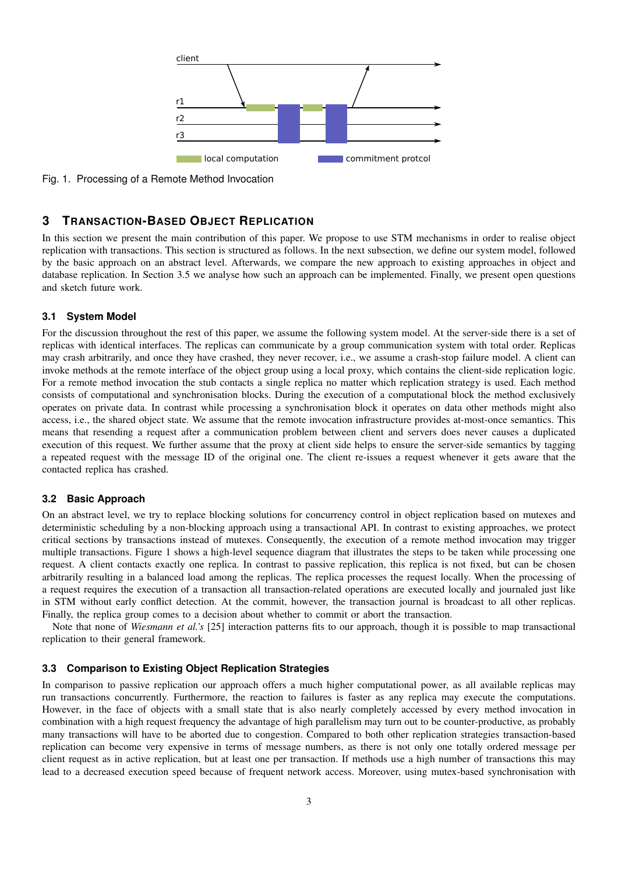

Fig. 1. Processing of a Remote Method Invocation

# **3 TRANSACTION-BASED OBJECT REPLICATION**

In this section we present the main contribution of this paper. We propose to use STM mechanisms in order to realise object replication with transactions. This section is structured as follows. In the next subsection, we define our system model, followed by the basic approach on an abstract level. Afterwards, we compare the new approach to existing approaches in object and database replication. In Section 3.5 we analyse how such an approach can be implemented. Finally, we present open questions and sketch future work.

#### **3.1 System Model**

For the discussion throughout the rest of this paper, we assume the following system model. At the server-side there is a set of replicas with identical interfaces. The replicas can communicate by a group communication system with total order. Replicas may crash arbitrarily, and once they have crashed, they never recover, i.e., we assume a crash-stop failure model. A client can invoke methods at the remote interface of the object group using a local proxy, which contains the client-side replication logic. For a remote method invocation the stub contacts a single replica no matter which replication strategy is used. Each method consists of computational and synchronisation blocks. During the execution of a computational block the method exclusively operates on private data. In contrast while processing a synchronisation block it operates on data other methods might also access, i.e., the shared object state. We assume that the remote invocation infrastructure provides at-most-once semantics. This means that resending a request after a communication problem between client and servers does never causes a duplicated execution of this request. We further assume that the proxy at client side helps to ensure the server-side semantics by tagging a repeated request with the message ID of the original one. The client re-issues a request whenever it gets aware that the contacted replica has crashed.

#### **3.2 Basic Approach**

On an abstract level, we try to replace blocking solutions for concurrency control in object replication based on mutexes and deterministic scheduling by a non-blocking approach using a transactional API. In contrast to existing approaches, we protect critical sections by transactions instead of mutexes. Consequently, the execution of a remote method invocation may trigger multiple transactions. Figure 1 shows a high-level sequence diagram that illustrates the steps to be taken while processing one request. A client contacts exactly one replica. In contrast to passive replication, this replica is not fixed, but can be chosen arbitrarily resulting in a balanced load among the replicas. The replica processes the request locally. When the processing of a request requires the execution of a transaction all transaction-related operations are executed locally and journaled just like in STM without early conflict detection. At the commit, however, the transaction journal is broadcast to all other replicas. Finally, the replica group comes to a decision about whether to commit or abort the transaction.

Note that none of *Wiesmann et al.'s* [25] interaction patterns fits to our approach, though it is possible to map transactional replication to their general framework.

#### **3.3 Comparison to Existing Object Replication Strategies**

In comparison to passive replication our approach offers a much higher computational power, as all available replicas may run transactions concurrently. Furthermore, the reaction to failures is faster as any replica may execute the computations. However, in the face of objects with a small state that is also nearly completely accessed by every method invocation in combination with a high request frequency the advantage of high parallelism may turn out to be counter-productive, as probably many transactions will have to be aborted due to congestion. Compared to both other replication strategies transaction-based replication can become very expensive in terms of message numbers, as there is not only one totally ordered message per client request as in active replication, but at least one per transaction. If methods use a high number of transactions this may lead to a decreased execution speed because of frequent network access. Moreover, using mutex-based synchronisation with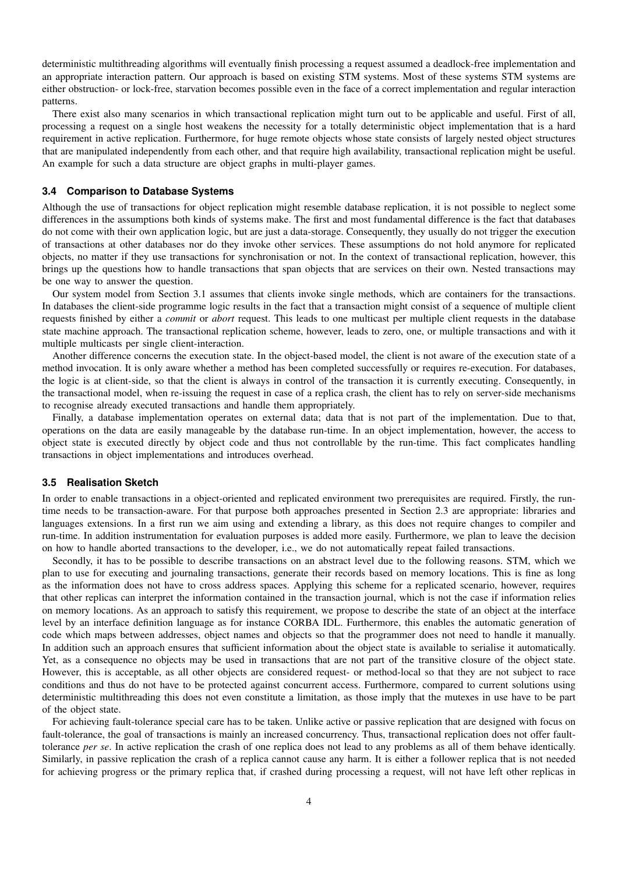deterministic multithreading algorithms will eventually finish processing a request assumed a deadlock-free implementation and an appropriate interaction pattern. Our approach is based on existing STM systems. Most of these systems STM systems are either obstruction- or lock-free, starvation becomes possible even in the face of a correct implementation and regular interaction patterns.

There exist also many scenarios in which transactional replication might turn out to be applicable and useful. First of all, processing a request on a single host weakens the necessity for a totally deterministic object implementation that is a hard requirement in active replication. Furthermore, for huge remote objects whose state consists of largely nested object structures that are manipulated independently from each other, and that require high availability, transactional replication might be useful. An example for such a data structure are object graphs in multi-player games.

#### **3.4 Comparison to Database Systems**

Although the use of transactions for object replication might resemble database replication, it is not possible to neglect some differences in the assumptions both kinds of systems make. The first and most fundamental difference is the fact that databases do not come with their own application logic, but are just a data-storage. Consequently, they usually do not trigger the execution of transactions at other databases nor do they invoke other services. These assumptions do not hold anymore for replicated objects, no matter if they use transactions for synchronisation or not. In the context of transactional replication, however, this brings up the questions how to handle transactions that span objects that are services on their own. Nested transactions may be one way to answer the question.

Our system model from Section 3.1 assumes that clients invoke single methods, which are containers for the transactions. In databases the client-side programme logic results in the fact that a transaction might consist of a sequence of multiple client requests finished by either a *commit* or *abort* request. This leads to one multicast per multiple client requests in the database state machine approach. The transactional replication scheme, however, leads to zero, one, or multiple transactions and with it multiple multicasts per single client-interaction.

Another difference concerns the execution state. In the object-based model, the client is not aware of the execution state of a method invocation. It is only aware whether a method has been completed successfully or requires re-execution. For databases, the logic is at client-side, so that the client is always in control of the transaction it is currently executing. Consequently, in the transactional model, when re-issuing the request in case of a replica crash, the client has to rely on server-side mechanisms to recognise already executed transactions and handle them appropriately.

Finally, a database implementation operates on external data; data that is not part of the implementation. Due to that, operations on the data are easily manageable by the database run-time. In an object implementation, however, the access to object state is executed directly by object code and thus not controllable by the run-time. This fact complicates handling transactions in object implementations and introduces overhead.

### **3.5 Realisation Sketch**

In order to enable transactions in a object-oriented and replicated environment two prerequisites are required. Firstly, the runtime needs to be transaction-aware. For that purpose both approaches presented in Section 2.3 are appropriate: libraries and languages extensions. In a first run we aim using and extending a library, as this does not require changes to compiler and run-time. In addition instrumentation for evaluation purposes is added more easily. Furthermore, we plan to leave the decision on how to handle aborted transactions to the developer, i.e., we do not automatically repeat failed transactions.

Secondly, it has to be possible to describe transactions on an abstract level due to the following reasons. STM, which we plan to use for executing and journaling transactions, generate their records based on memory locations. This is fine as long as the information does not have to cross address spaces. Applying this scheme for a replicated scenario, however, requires that other replicas can interpret the information contained in the transaction journal, which is not the case if information relies on memory locations. As an approach to satisfy this requirement, we propose to describe the state of an object at the interface level by an interface definition language as for instance CORBA IDL. Furthermore, this enables the automatic generation of code which maps between addresses, object names and objects so that the programmer does not need to handle it manually. In addition such an approach ensures that sufficient information about the object state is available to serialise it automatically. Yet, as a consequence no objects may be used in transactions that are not part of the transitive closure of the object state. However, this is acceptable, as all other objects are considered request- or method-local so that they are not subject to race conditions and thus do not have to be protected against concurrent access. Furthermore, compared to current solutions using deterministic multithreading this does not even constitute a limitation, as those imply that the mutexes in use have to be part of the object state.

For achieving fault-tolerance special care has to be taken. Unlike active or passive replication that are designed with focus on fault-tolerance, the goal of transactions is mainly an increased concurrency. Thus, transactional replication does not offer faulttolerance *per se*. In active replication the crash of one replica does not lead to any problems as all of them behave identically. Similarly, in passive replication the crash of a replica cannot cause any harm. It is either a follower replica that is not needed for achieving progress or the primary replica that, if crashed during processing a request, will not have left other replicas in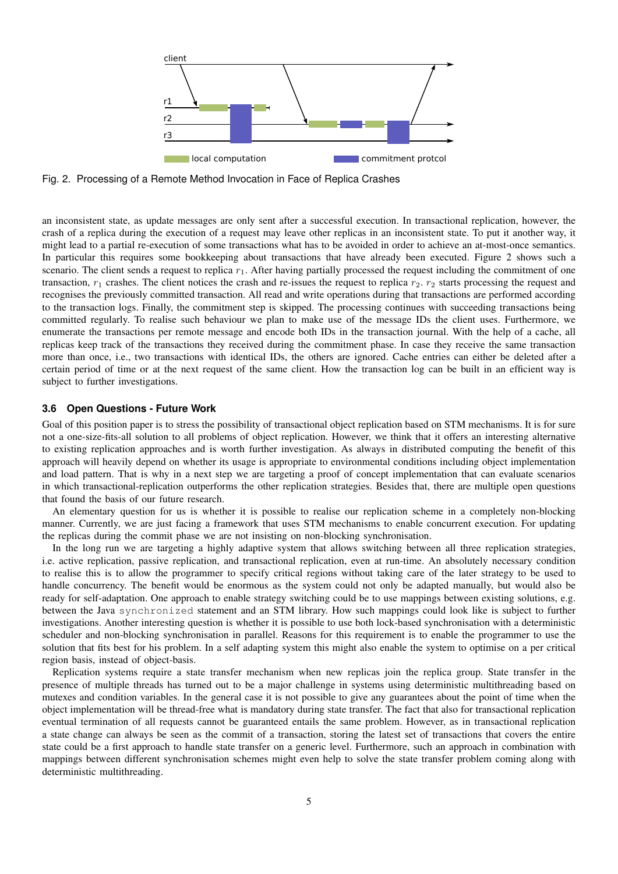

Fig. 2. Processing of a Remote Method Invocation in Face of Replica Crashes

an inconsistent state, as update messages are only sent after a successful execution. In transactional replication, however, the crash of a replica during the execution of a request may leave other replicas in an inconsistent state. To put it another way, it might lead to a partial re-execution of some transactions what has to be avoided in order to achieve an at-most-once semantics. In particular this requires some bookkeeping about transactions that have already been executed. Figure 2 shows such a scenario. The client sends a request to replica  $r<sub>1</sub>$ . After having partially processed the request including the commitment of one transaction,  $r_1$  crashes. The client notices the crash and re-issues the request to replica  $r_2$ .  $r_2$  starts processing the request and recognises the previously committed transaction. All read and write operations during that transactions are performed according to the transaction logs. Finally, the commitment step is skipped. The processing continues with succeeding transactions being committed regularly. To realise such behaviour we plan to make use of the message IDs the client uses. Furthermore, we enumerate the transactions per remote message and encode both IDs in the transaction journal. With the help of a cache, all replicas keep track of the transactions they received during the commitment phase. In case they receive the same transaction more than once, i.e., two transactions with identical IDs, the others are ignored. Cache entries can either be deleted after a certain period of time or at the next request of the same client. How the transaction log can be built in an efficient way is subject to further investigations.

# **3.6 Open Questions - Future Work**

Goal of this position paper is to stress the possibility of transactional object replication based on STM mechanisms. It is for sure not a one-size-fits-all solution to all problems of object replication. However, we think that it offers an interesting alternative to existing replication approaches and is worth further investigation. As always in distributed computing the benefit of this approach will heavily depend on whether its usage is appropriate to environmental conditions including object implementation and load pattern. That is why in a next step we are targeting a proof of concept implementation that can evaluate scenarios in which transactional-replication outperforms the other replication strategies. Besides that, there are multiple open questions that found the basis of our future research.

An elementary question for us is whether it is possible to realise our replication scheme in a completely non-blocking manner. Currently, we are just facing a framework that uses STM mechanisms to enable concurrent execution. For updating the replicas during the commit phase we are not insisting on non-blocking synchronisation.

In the long run we are targeting a highly adaptive system that allows switching between all three replication strategies, i.e. active replication, passive replication, and transactional replication, even at run-time. An absolutely necessary condition to realise this is to allow the programmer to specify critical regions without taking care of the later strategy to be used to handle concurrency. The benefit would be enormous as the system could not only be adapted manually, but would also be ready for self-adaptation. One approach to enable strategy switching could be to use mappings between existing solutions, e.g. between the Java synchronized statement and an STM library. How such mappings could look like is subject to further investigations. Another interesting question is whether it is possible to use both lock-based synchronisation with a deterministic scheduler and non-blocking synchronisation in parallel. Reasons for this requirement is to enable the programmer to use the solution that fits best for his problem. In a self adapting system this might also enable the system to optimise on a per critical region basis, instead of object-basis.

Replication systems require a state transfer mechanism when new replicas join the replica group. State transfer in the presence of multiple threads has turned out to be a major challenge in systems using deterministic multithreading based on mutexes and condition variables. In the general case it is not possible to give any guarantees about the point of time when the object implementation will be thread-free what is mandatory during state transfer. The fact that also for transactional replication eventual termination of all requests cannot be guaranteed entails the same problem. However, as in transactional replication a state change can always be seen as the commit of a transaction, storing the latest set of transactions that covers the entire state could be a first approach to handle state transfer on a generic level. Furthermore, such an approach in combination with mappings between different synchronisation schemes might even help to solve the state transfer problem coming along with deterministic multithreading.